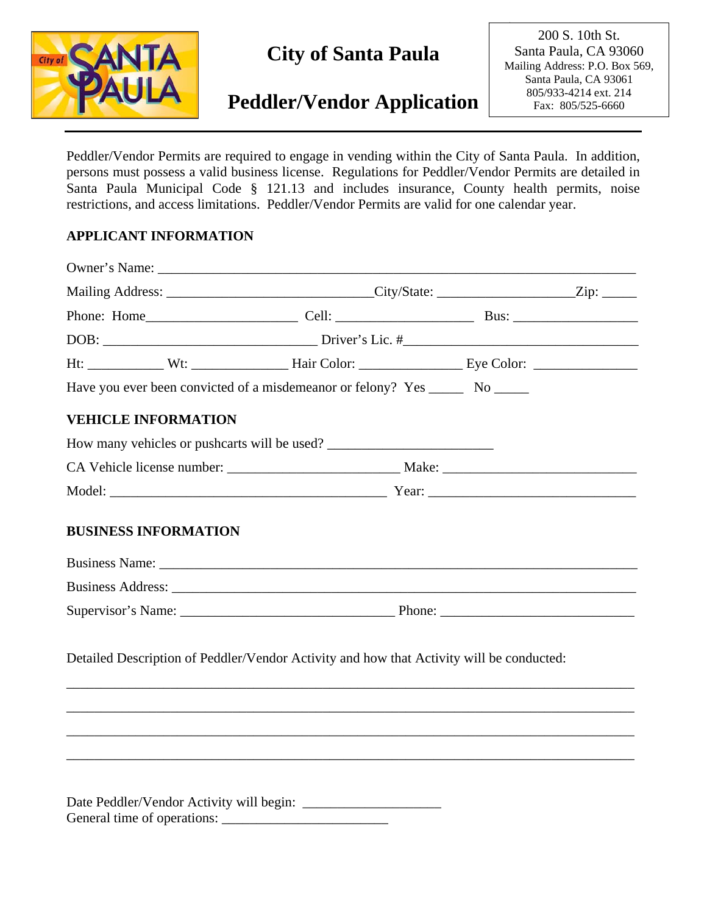

# **City of Santa Paula**

# **Peddler/Vendor Application**

200 S. 10th St. 200 S. 10th St. Santa Paula, CA 93060 Santa Paula, CA 93060 Mailing Address: P.O. Box Mailing Address: P.O. Box 569, 569, Santa Paula, CA 93061 Santa Paula, CA 93061 805/933-4218 805/933-4214 ext. 214 Fax: 805/525-6660 Fax: 805/525-6660

Peddler/Vendor Permits are required to engage in vending within the City of Santa Paula. In addition, persons must possess a valid business license. Regulations for Peddler/Vendor Permits are detailed in Santa Paula Municipal Code § 121.13 and includes insurance, County health permits, noise restrictions, and access limitations. Peddler/Vendor Permits are valid for one calendar year.

# **APPLICANT INFORMATION**

|  |                            | Have you ever been convicted of a misdemeanor or felony? Yes ________ No ______                                                                                                                                                |  |
|--|----------------------------|--------------------------------------------------------------------------------------------------------------------------------------------------------------------------------------------------------------------------------|--|
|  | <b>VEHICLE INFORMATION</b> |                                                                                                                                                                                                                                |  |
|  |                            | How many vehicles or pushcarts will be used?                                                                                                                                                                                   |  |
|  |                            |                                                                                                                                                                                                                                |  |
|  |                            |                                                                                                                                                                                                                                |  |
|  |                            | Business Name: Name: Name: Name: Name: Name: Name: Name: Name: Name: Name: Name: Name: Name: Name: Name: Name: Name: Name: Name: Name: Name: Name: Name: Name: Name: Name: Name: Name: Name: Name: Name: Name: Name: Name: Nam |  |
|  |                            |                                                                                                                                                                                                                                |  |
|  |                            |                                                                                                                                                                                                                                |  |
|  |                            | Detailed Description of Peddler/Vendor Activity and how that Activity will be conducted:                                                                                                                                       |  |
|  |                            |                                                                                                                                                                                                                                |  |
|  |                            |                                                                                                                                                                                                                                |  |
|  |                            |                                                                                                                                                                                                                                |  |
|  |                            |                                                                                                                                                                                                                                |  |
|  |                            |                                                                                                                                                                                                                                |  |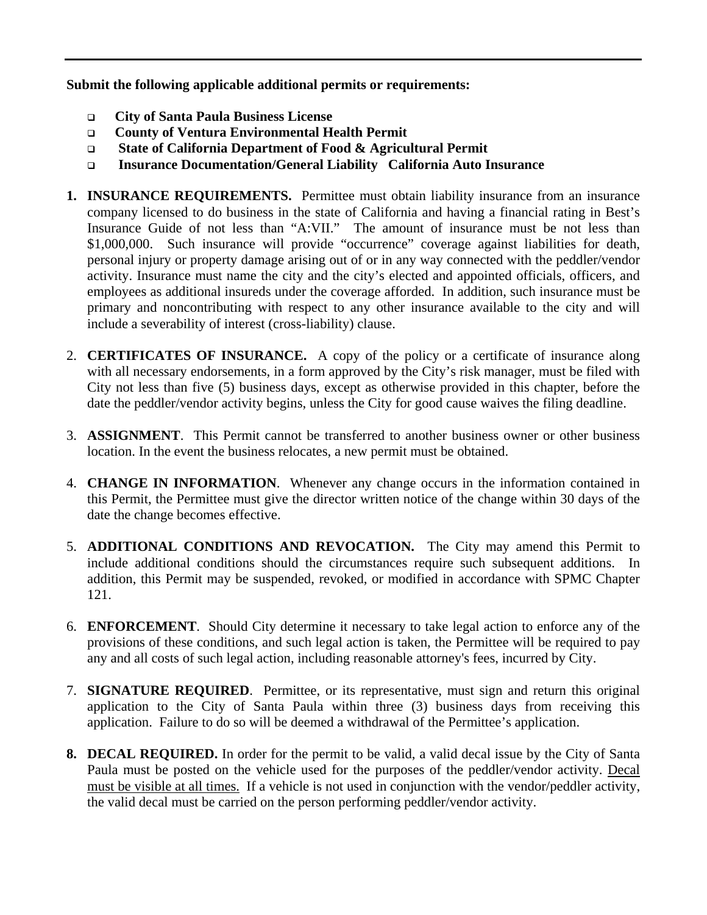**Submit the following applicable additional permits or requirements:** 

- **City of Santa Paula Business License**
- **County of Ventura Environmental Health Permit**
- **State of California Department of Food & Agricultural Permit**
- **Insurance Documentation/General Liability California Auto Insurance**
- **1. INSURANCE REQUIREMENTS.** Permittee must obtain liability insurance from an insurance company licensed to do business in the state of California and having a financial rating in Best's Insurance Guide of not less than "A:VII." The amount of insurance must be not less than \$1,000,000. Such insurance will provide "occurrence" coverage against liabilities for death, personal injury or property damage arising out of or in any way connected with the peddler/vendor activity. Insurance must name the city and the city's elected and appointed officials, officers, and employees as additional insureds under the coverage afforded. In addition, such insurance must be primary and noncontributing with respect to any other insurance available to the city and will include a severability of interest (cross-liability) clause.
- 2. **CERTIFICATES OF INSURANCE.** A copy of the policy or a certificate of insurance along with all necessary endorsements, in a form approved by the City's risk manager, must be filed with City not less than five (5) business days, except as otherwise provided in this chapter, before the date the peddler/vendor activity begins, unless the City for good cause waives the filing deadline.
- 3. **ASSIGNMENT**. This Permit cannot be transferred to another business owner or other business location. In the event the business relocates, a new permit must be obtained.
- 4. **CHANGE IN INFORMATION**. Whenever any change occurs in the information contained in this Permit, the Permittee must give the director written notice of the change within 30 days of the date the change becomes effective.
- 5. **ADDITIONAL CONDITIONS AND REVOCATION.** The City may amend this Permit to include additional conditions should the circumstances require such subsequent additions. In addition, this Permit may be suspended, revoked, or modified in accordance with SPMC Chapter 121.
- 6. **ENFORCEMENT**. Should City determine it necessary to take legal action to enforce any of the provisions of these conditions, and such legal action is taken, the Permittee will be required to pay any and all costs of such legal action, including reasonable attorney's fees, incurred by City.
- 7. **SIGNATURE REQUIRED**. Permittee, or its representative, must sign and return this original application to the City of Santa Paula within three (3) business days from receiving this application. Failure to do so will be deemed a withdrawal of the Permittee's application.
- **8. DECAL REQUIRED.** In order for the permit to be valid, a valid decal issue by the City of Santa Paula must be posted on the vehicle used for the purposes of the peddler/vendor activity. Decal must be visible at all times. If a vehicle is not used in conjunction with the vendor/peddler activity, the valid decal must be carried on the person performing peddler/vendor activity.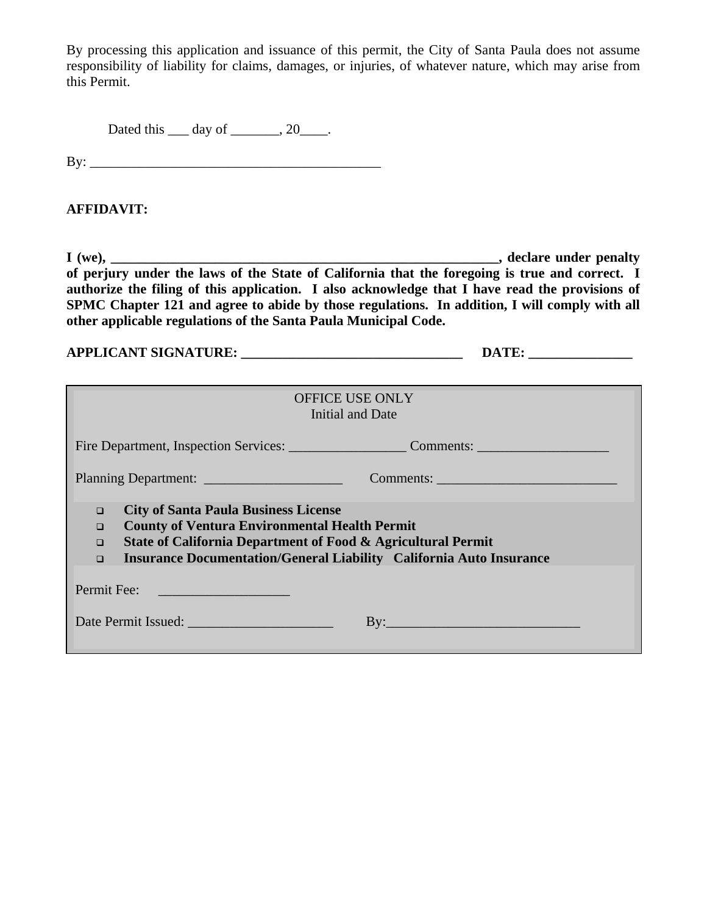By processing this application and issuance of this permit, the City of Santa Paula does not assume responsibility of liability for claims, damages, or injuries, of whatever nature, which may arise from this Permit.

Dated this <u>quarely</u> day of <u>quarely 20</u> \_\_\_\_.

By: \_\_\_\_\_\_\_\_\_\_\_\_\_\_\_\_\_\_\_\_\_\_\_\_\_\_\_\_\_\_\_\_\_\_\_\_\_\_\_\_\_\_

# **AFFIDAVIT:**

**I (we), \_\_\_\_\_\_\_\_\_\_\_\_\_\_\_\_\_\_\_\_\_\_\_\_\_\_\_\_\_\_\_\_\_\_\_\_\_\_\_\_\_\_\_\_\_\_\_\_\_\_\_\_\_\_\_\_, declare under penalty of perjury under the laws of the State of California that the foregoing is true and correct. I authorize the filing of this application. I also acknowledge that I have read the provisions of SPMC Chapter 121 and agree to abide by those regulations. In addition, I will comply with all other applicable regulations of the Santa Paula Municipal Code.** 

| <b>APPLICANT SIGNATURE:</b> |  |
|-----------------------------|--|
|-----------------------------|--|

| OFFICE USE ONLY<br>Initial and Date                                                                                                                                                                                                                                                       |  |  |  |  |  |
|-------------------------------------------------------------------------------------------------------------------------------------------------------------------------------------------------------------------------------------------------------------------------------------------|--|--|--|--|--|
| Fire Department, Inspection Services: Comments: Comments:                                                                                                                                                                                                                                 |  |  |  |  |  |
| Planning Department:<br>Comments:                                                                                                                                                                                                                                                         |  |  |  |  |  |
| <b>City of Santa Paula Business License</b><br>$\Box$<br><b>County of Ventura Environmental Health Permit</b><br>$\Box$<br>State of California Department of Food & Agricultural Permit<br>$\Box$<br><b>Insurance Documentation/General Liability California Auto Insurance</b><br>$\Box$ |  |  |  |  |  |
| Permit Fee:                                                                                                                                                                                                                                                                               |  |  |  |  |  |
| Date Permit Issued:<br>$\mathbf{B}$ y:                                                                                                                                                                                                                                                    |  |  |  |  |  |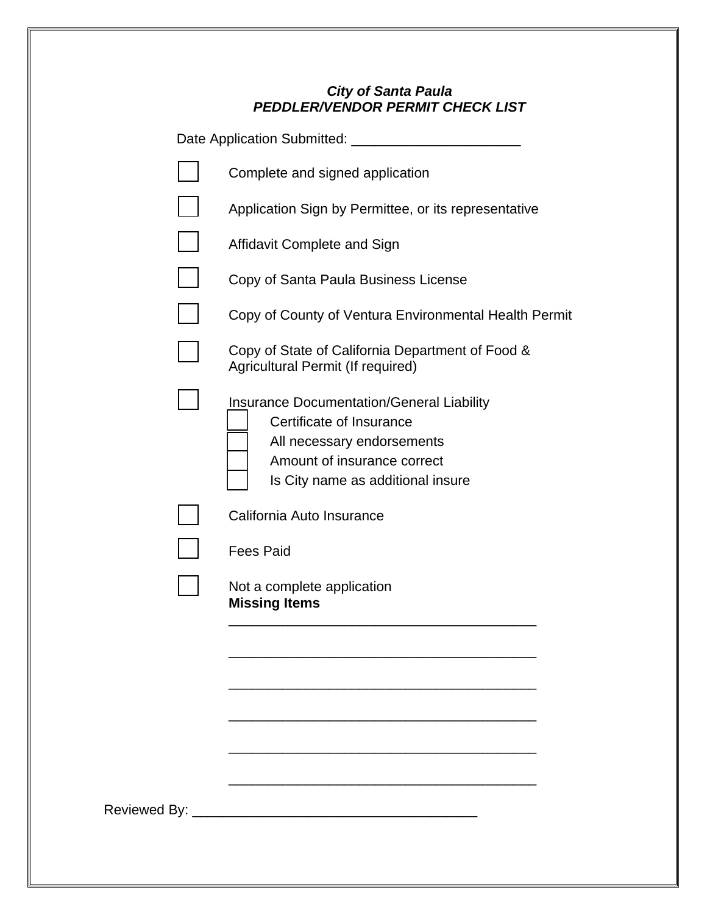# *City of Santa Paula PEDDLER/VENDOR PERMIT CHECK LIST*

| Date Application Submitted: ____________                                                                                                                                       |
|--------------------------------------------------------------------------------------------------------------------------------------------------------------------------------|
| Complete and signed application                                                                                                                                                |
| Application Sign by Permittee, or its representative                                                                                                                           |
| Affidavit Complete and Sign                                                                                                                                                    |
| Copy of Santa Paula Business License                                                                                                                                           |
| Copy of County of Ventura Environmental Health Permit                                                                                                                          |
| Copy of State of California Department of Food &<br>Agricultural Permit (If required)                                                                                          |
| <b>Insurance Documentation/General Liability</b><br>Certificate of Insurance<br>All necessary endorsements<br>Amount of insurance correct<br>Is City name as additional insure |
| California Auto Insurance                                                                                                                                                      |
| <b>Fees Paid</b>                                                                                                                                                               |
| Not a complete application<br><b>Missing Items</b>                                                                                                                             |
|                                                                                                                                                                                |
|                                                                                                                                                                                |
|                                                                                                                                                                                |
|                                                                                                                                                                                |
|                                                                                                                                                                                |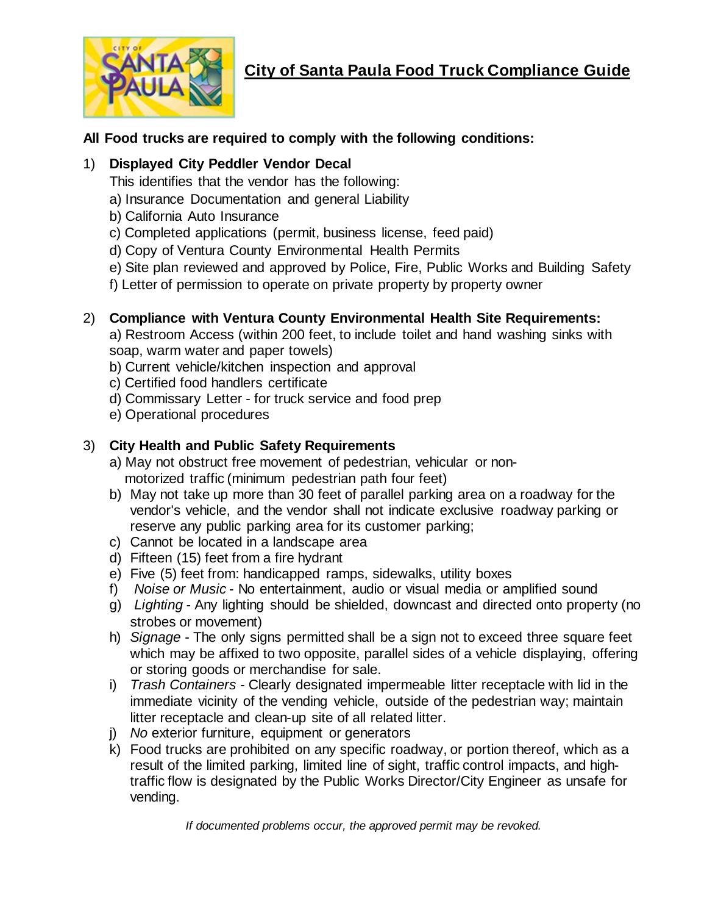

# **City of Santa Paula Food Truck Compliance Guide**

# **All Food trucks are required to comply with the following conditions:**

# 1) **Displayed City Peddler Vendor Decal**

This identifies that the vendor has the following:

- a) Insurance Documentation and general Liability
- b) California Auto Insurance
- c) Completed applications (permit, business license, feed paid)
- d) Copy of Ventura County Environmental Health Permits
- e) Site plan reviewed and approved by Police, Fire, Public Works and Building Safety
- f) Letter of permission to operate on private property by property owner

# 2) **Compliance with Ventura County Environmental Health Site Requirements:**

a) Restroom Access (within 200 feet, to include toilet and hand washing sinks with soap, warm water and paper towels)

- b) Current vehicle/kitchen inspection and approval
- c) Certified food handlers certificate
- d) Commissary Letter for truck service and food prep
- e) Operational procedures

# 3) **City Health and Public Safety Requirements**

- a) May not obstruct free movement of pedestrian, vehicular or non motorized traffic (minimum pedestrian path four feet)
- b) May not take up more than 30 feet of parallel parking area on a roadway for the vendor's vehicle, and the vendor shall not indicate exclusive roadway parking or reserve any public parking area for its customer parking;
- c) Cannot be located in a landscape area
- d) Fifteen (15) feet from a fire hydrant
- e) Five (5) feet from: handicapped ramps, sidewalks, utility boxes
- f) *Noise or Music* No entertainment, audio or visual media or amplified sound
- g) *Lighting* Any lighting should be shielded, downcast and directed onto property (no strobes or movement)
- h) *Signage* The only signs permitted shall be a sign not to exceed three square feet which may be affixed to two opposite, parallel sides of a vehicle displaying, offering or storing goods or merchandise for sale.
- i) *Trash Containers* Clearly designated impermeable litter receptacle with lid in the immediate vicinity of the vending vehicle, outside of the pedestrian way; maintain litter receptacle and clean-up site of all related litter.
- j) *No* exterior furniture, equipment or generators
- k) Food trucks are prohibited on any specific roadway, or portion thereof, which as a result of the limited parking, limited line of sight, traffic control impacts, and hightraffic flow is designated by the Public Works Director/City Engineer as unsafe for vending.

*If documented problems occur, the approved permit may be revoked.*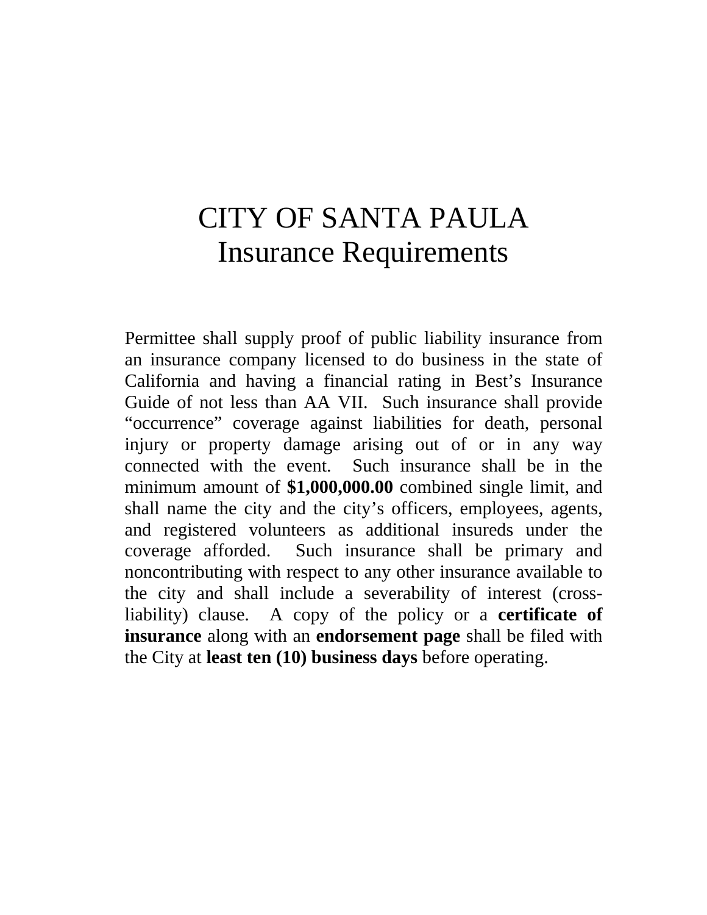# CITY OF SANTA PAULA Insurance Requirements

Permittee shall supply proof of public liability insurance from an insurance company licensed to do business in the state of California and having a financial rating in Best's Insurance Guide of not less than AA VII. Such insurance shall provide "occurrence" coverage against liabilities for death, personal injury or property damage arising out of or in any way connected with the event. Such insurance shall be in the minimum amount of **\$1,000,000.00** combined single limit, and shall name the city and the city's officers, employees, agents, and registered volunteers as additional insureds under the coverage afforded. Such insurance shall be primary and noncontributing with respect to any other insurance available to the city and shall include a severability of interest (crossliability) clause. A copy of the policy or a **certificate of insurance** along with an **endorsement page** shall be filed with the City at **least ten (10) business days** before operating.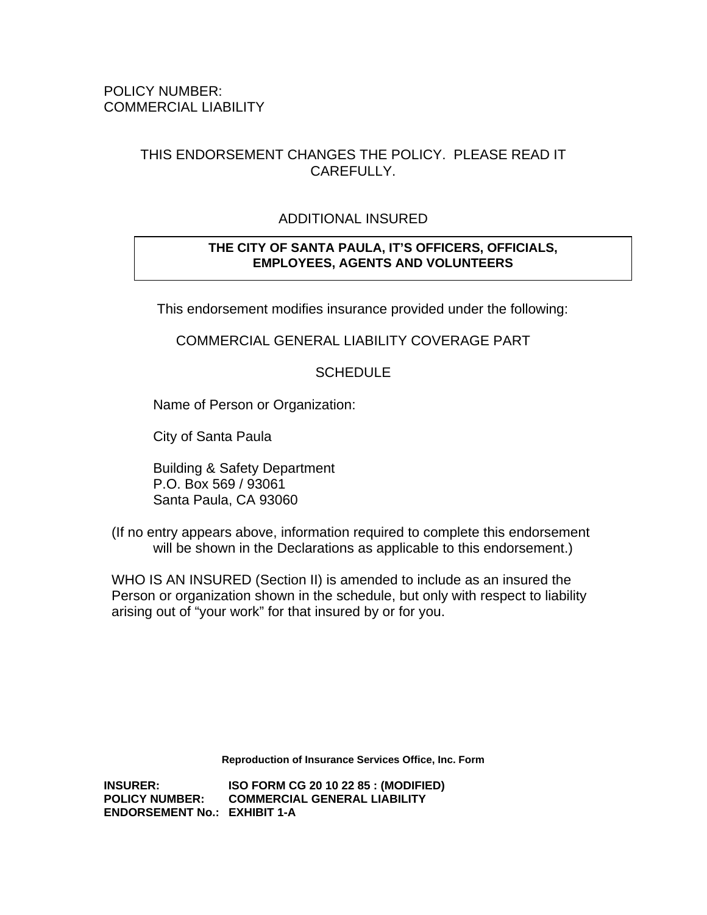# THIS ENDORSEMENT CHANGES THE POLICY. PLEASE READ IT CAREFULLY.

# ADDITIONAL INSURED

## **THE CITY OF SANTA PAULA, IT'S OFFICERS, OFFICIALS, EMPLOYEES, AGENTS AND VOLUNTEERS**

This endorsement modifies insurance provided under the following:

## COMMERCIAL GENERAL LIABILITY COVERAGE PART

## **SCHEDULE**

Name of Person or Organization:

City of Santa Paula

 Building & Safety Department P.O. Box 569 / 93061 Santa Paula, CA 93060

 (If no entry appears above, information required to complete this endorsement will be shown in the Declarations as applicable to this endorsement.)

 WHO IS AN INSURED (Section II) is amended to include as an insured the Person or organization shown in the schedule, but only with respect to liability arising out of "your work" for that insured by or for you.

**Reproduction of Insurance Services Office, Inc. Form**

**INSURER: ISO FORM CG 20 10 22 85 : (MODIFIED) POLICY NUMBER: COMMERCIAL GENERAL LIABILITY ENDORSEMENT No.: EXHIBIT 1-A**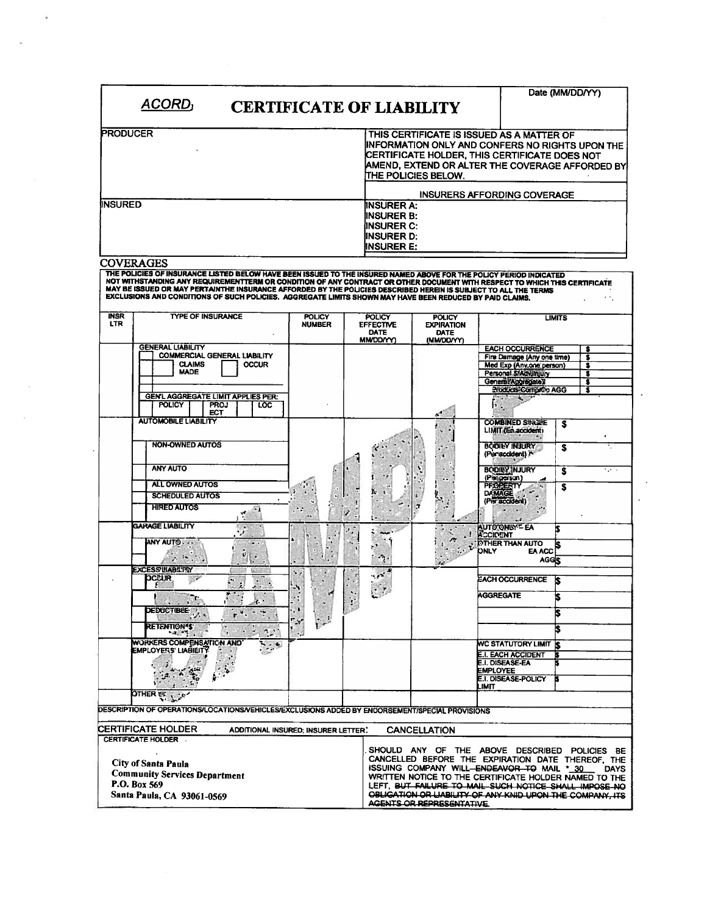|                           | ACORD <sub>I</sub><br><b>CERTIFICATE OF LIABILITY</b>                                                                                                                                                                                                                                                                                                                                                                                                                                               |                                                    |                    |                                                                                          |               |                                                          |                  |                                                                                                                                                                                                                                                                                | Date (MM/DD/YY) |                                      |
|---------------------------|-----------------------------------------------------------------------------------------------------------------------------------------------------------------------------------------------------------------------------------------------------------------------------------------------------------------------------------------------------------------------------------------------------------------------------------------------------------------------------------------------------|----------------------------------------------------|--------------------|------------------------------------------------------------------------------------------|---------------|----------------------------------------------------------|------------------|--------------------------------------------------------------------------------------------------------------------------------------------------------------------------------------------------------------------------------------------------------------------------------|-----------------|--------------------------------------|
| PRODUCER                  |                                                                                                                                                                                                                                                                                                                                                                                                                                                                                                     |                                                    |                    |                                                                                          |               |                                                          |                  | THIS CERTIFICATE IS ISSUED AS A MATTER OF                                                                                                                                                                                                                                      |                 |                                      |
|                           |                                                                                                                                                                                                                                                                                                                                                                                                                                                                                                     |                                                    |                    | THE POLICIES BELOW.                                                                      |               |                                                          |                  | INFORMATION ONLY AND CONFERS NO RIGHTS UPON THE<br>CERTIFICATE HOLDER, THIS CERTIFICATE DOES NOT<br>AMEND, EXTEND OR ALTER THE COVERAGE AFFORDED BY                                                                                                                            |                 |                                      |
|                           |                                                                                                                                                                                                                                                                                                                                                                                                                                                                                                     |                                                    |                    |                                                                                          |               |                                                          |                  | INSURERS AFFORDING COVERAGE                                                                                                                                                                                                                                                    |                 |                                      |
| <b>INSURED</b>            |                                                                                                                                                                                                                                                                                                                                                                                                                                                                                                     |                                                    |                    | INSURER A:<br><b>IINSURER B:</b><br>INSURER C:<br><b>INSURER D:</b><br><b>INSURER E:</b> |               |                                                          |                  |                                                                                                                                                                                                                                                                                |                 |                                      |
|                           | <b>COVERAGES</b><br>THE POLICIES OF INSURANCE LISTED BELOW HAVE BEEN ISSUED TO THE INSURED NAMED ABOVE FOR THE POLICY PERIOD INDICATED<br>NOT WITHSTANDING ANY REQUIREMENTTERM OR CONDITION OF ANY CONTRACT OR OTHER DOCUMENT WITH RESPECT TO WHICH THIS CERTIFICATE<br>MAY BE ISSUED OR MAY PERTAINTHE INSURANCE AFFORDED BY THE POLICIES DESCRIBED HEREIN IS SUBJECT TO ALL THE TERMS<br>EXCLUSIONS AND CONDITIONS OF SUCH POLICIES. AGGREGATE LIMITS SHOWN MAY HAVE BEEN REDUCED BY PAID CLAIMS. |                                                    |                    |                                                                                          |               |                                                          |                  |                                                                                                                                                                                                                                                                                |                 |                                      |
| <b>INSR</b><br><b>LTR</b> | <b>TYPE OF INSURANCE</b>                                                                                                                                                                                                                                                                                                                                                                                                                                                                            | <b>POLICY</b><br><b>NUMBER</b>                     |                    | <b>POLICY</b><br><b>EFFECTIVE</b><br><b>DATE</b><br><b>MMDD/YY)</b>                      |               | <b>POLICY</b><br><b>EXPIRATION</b><br>DATE<br>(MM/DD/YY) |                  |                                                                                                                                                                                                                                                                                | <b>LIMITS</b>   |                                      |
|                           | <b>GENERAL LIABILITY</b><br><b>COMMERCIAL GENERAL LIABILITY</b><br><b>CLAIMS</b><br><b>OCCUR</b><br><b>MADE</b>                                                                                                                                                                                                                                                                                                                                                                                     |                                                    |                    |                                                                                          |               |                                                          |                  | <b>EACH OCCURRENCE</b><br>Fire Damage (Any one time)<br>Med Exp (Anv.one person)<br>Personal StAdvinjury                                                                                                                                                                       |                 | s<br>$\overline{\bullet}$<br>s<br>\$ |
|                           | <b>GEN'L AGGREGATE LIMIT APPLIES PER:</b><br><b>POLICY</b><br><b>PROJ</b><br>LOC<br><b>ECT</b>                                                                                                                                                                                                                                                                                                                                                                                                      |                                                    |                    |                                                                                          |               | $\sigma^0$                                               | Þ                | General/Aggregate)<br>Products-Compleo AGG<br><b>Contractor</b>                                                                                                                                                                                                                |                 | s                                    |
|                           | <b>AUTOMOBILE LIABILITY</b><br><b>NON-OWNED AUTOS</b>                                                                                                                                                                                                                                                                                                                                                                                                                                               |                                                    |                    |                                                                                          |               | $\ddot{\phantom{a}}$                                     |                  | <b>COMBINED SINGLIE</b><br>LIMIT (En accident)<br>BODIEY INJURY                                                                                                                                                                                                                | S<br>S          |                                      |
|                           | <b>ANY AUTO</b><br><b>ALL OWNED AUTOS</b>                                                                                                                                                                                                                                                                                                                                                                                                                                                           |                                                    |                    |                                                                                          | $\mathcal{C}$ | ۰<br>$\cdot$ .                                           | <b>PFOPERTY</b>  | (Per accident) A<br><b>BODILY INJURY</b><br>(Pissperson)                                                                                                                                                                                                                       | \$<br>s         |                                      |
|                           | <b>SCHEDULED AUTOS</b><br><b>HIRED AUTOS</b><br>$\bullet$ .<br>æ                                                                                                                                                                                                                                                                                                                                                                                                                                    | $\ddot{\cdot}$<br>۰<br>$\cdot$<br>$\bullet\bullet$ | Þ                  | Ł.                                                                                       | \$.<br>7      | 54                                                       | <b>DAMAGE</b>    | $\mathbf{A}^{\mathbf{m}}$<br>(Per accident)                                                                                                                                                                                                                                    |                 |                                      |
|                           | <b>GARAGE LIABILITY</b><br><b>STAR</b><br>ANY AUTO<br>$-$<br>V.<br>$\mathcal{L}_{\mathcal{A}}$ , and $\mathcal{L}_{\mathcal{A}}$                                                                                                                                                                                                                                                                                                                                                                    |                                                    |                    | مبدم<br>$\mathcal{L}$<br>$\cdot \gamma$ .                                                |               | الله<br>r:                                               | <b>ACCIDENT</b>  | <b>AUTO ONLY - EA</b><br>LOTHER THAN AUTO<br><b>EA ACC</b><br><b>AGGS</b>                                                                                                                                                                                                      |                 |                                      |
|                           | y.<br><b>EXCESS LIABLITY</b><br>k<br><b>OCCUR</b><br>Ŀ.<br>. .<br><b>Sept</b>                                                                                                                                                                                                                                                                                                                                                                                                                       | $\ddot{\phantom{0}}$<br>۵Ŋ,                        | $\ddotsc$          | $\epsilon$ , $\epsilon$<br>$\mathcal{L}$                                                 |               | $\mathbf{z}$                                             | <b>AGGREGATE</b> | <b>EACH OCCURRENCE</b>                                                                                                                                                                                                                                                         | ß               |                                      |
|                           | Π.<br>$\label{eq:1} \mathcal{P}(\mathcal{D}) = \mathcal{P}(\mathcal{D})$<br>A.<br><b>DEDUCTIBLE</b><br>$r^{\nu}$<br><b>RETENTION'S</b><br>4.376<br><b>Card</b>                                                                                                                                                                                                                                                                                                                                      | ٠:<br>$\frac{1}{2}$                                | $\mathbf{r}$<br>医肝 |                                                                                          |               |                                                          |                  |                                                                                                                                                                                                                                                                                | IS.             |                                      |
|                           | $\mathcal{L}$<br>$\mathcal{A}^{\mathcal{G}}_{\mathcal{A}^{\mathcal{G}}_{\mathcal{A}}}$ .<br><b>WORKERS COMPENSATION AND</b><br>$\sim$ . $\sim$<br><b>EMPLOYERS' LIABILITY</b>                                                                                                                                                                                                                                                                                                                       |                                                    |                    |                                                                                          |               |                                                          | <b>EMPLOYEE</b>  | <b>MC STATUTORY LIMIT</b><br><b>E.I. EACH ACCIDENT</b><br><b>E.I. DISEASE-EA</b>                                                                                                                                                                                               |                 |                                      |
|                           | $\frac{d\mu_{\rm{max}}}{d\mu_{\rm{max}}} = \frac{1}{2} \frac{d\mu_{\rm{max}}}{d\mu_{\rm{max}}}$<br>OTHER ET<br>$\mathcal{P}^{\mathcal{C}}$                                                                                                                                                                                                                                                                                                                                                          |                                                    |                    |                                                                                          |               |                                                          | <b>IMIT</b>      | E.I. DISEASE-POLICY                                                                                                                                                                                                                                                            | в               |                                      |
|                           | DESCRIPTION OF OPERATIONS/LOCATIONS/VEHICLES/EXCLUSIONS ADDED BY ENDORSEMENT/SPECIAL PROVISIONS                                                                                                                                                                                                                                                                                                                                                                                                     |                                                    |                    |                                                                                          |               |                                                          |                  |                                                                                                                                                                                                                                                                                |                 |                                      |
|                           | <b>CERTIFICATE HOLDER</b><br>ADDITIONAL INSURED; INSURER LETTER.<br>CERTIFICATE HOLDER                                                                                                                                                                                                                                                                                                                                                                                                              |                                                    |                    |                                                                                          |               | <b>CANCELLATION</b>                                      |                  | SHOULD ANY OF THE ABOVE DESCRIBED POLICIES BE                                                                                                                                                                                                                                  |                 |                                      |
|                           | <b>City of Santa Paula</b><br><b>Community Services Department</b><br>P.O. Box 569<br>Santa Paula, CA 93061-0569                                                                                                                                                                                                                                                                                                                                                                                    |                                                    |                    |                                                                                          |               | AGENTS OR REPRESENTATIVE.                                |                  | CANCELLED BEFORE THE EXPIRATION DATE THEREOF, THE<br>ISSUING COMPANY WILL-ENDEAVOR TO MAIL * 30<br>WRITTEN NOTICE TO THE CERTIFICATE HOLDER NAMED TO THE<br>LEFT, BUT FAILURE TO MAIL SUCH NOTICE SHALL IMPOSE NO<br>OBLIGATION OR LIABILITY OF ANY KNID UPON THE COMPANY, ITS |                 |                                      |

 $\mathcal{L}$ 

i,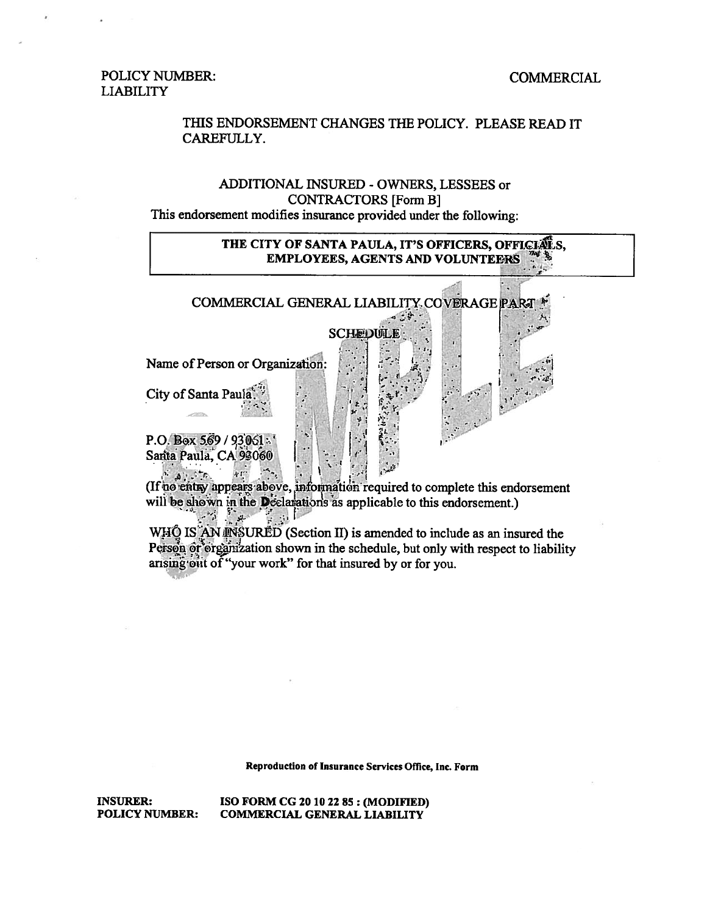#### **COMMERCIAL**

#### **POLICY NUMBER: LIABILITY**

#### THIS ENDORSEMENT CHANGES THE POLICY. PLEASE READ IT CAREFULLY.

#### ADDITIONAL INSURED - OWNERS, LESSEES or **CONTRACTORS [Form B]** This endorsement modifies insurance provided under the following:

#### THE CITY OF SANTA PAULA, IT'S OFFICERS, OFFICIALS, **EMPLOYEES, AGENTS AND VOLUNTEERS**



(If no entry appears above, information required to complete this endorsement will be shown in the Declarations as applicable to this endorsement.) 降調  $\label{eq:2.1} \mathcal{L}=\frac{1}{2}\sum_{i=1}^{N} \frac{1}{2} \sum_{j=1}^{N} \frac{1}{2} \sum_{j=1}^{N} \frac{1}{2} \sum_{j=1}^{N} \frac{1}{2} \sum_{j=1}^{N} \frac{1}{2} \sum_{j=1}^{N} \frac{1}{2} \sum_{j=1}^{N} \frac{1}{2} \sum_{j=1}^{N} \frac{1}{2} \sum_{j=1}^{N} \frac{1}{2} \sum_{j=1}^{N} \frac{1}{2} \sum_{j=1}^{N} \frac{1}{2} \sum_{j=1}^{N} \frac$ 

WHO IS AN INSURED (Section II) is amended to include as an insured the Person or organization shown in the schedule, but only with respect to liability arising out of "your work" for that insured by or for you.

Reproduction of Insurance Services Office, Inc. Form

**INSURER: POLICY NUMBER:**  ISO FORM CG 20 10 22 85 : (MODIFIED) **COMMERCIAL GENERAL LIABILITY**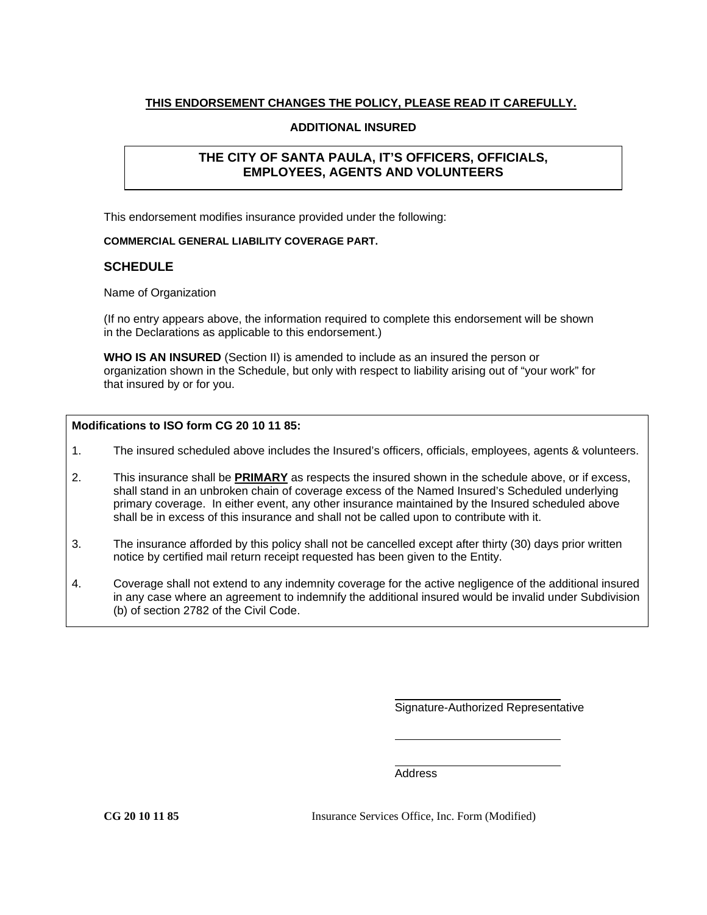#### **THIS ENDORSEMENT CHANGES THE POLICY, PLEASE READ IT CAREFULLY.**

#### **ADDITIONAL INSURED**

#### **THE CITY OF SANTA PAULA, IT'S OFFICERS, OFFICIALS, EMPLOYEES, AGENTS AND VOLUNTEERS**

This endorsement modifies insurance provided under the following:

#### **COMMERCIAL GENERAL LIABILITY COVERAGE PART.**

#### **SCHEDULE**

Name of Organization

(If no entry appears above, the information required to complete this endorsement will be shown in the Declarations as applicable to this endorsement.)

**WHO IS AN INSURED** (Section II) is amended to include as an insured the person or organization shown in the Schedule, but only with respect to liability arising out of "your work" for that insured by or for you.

#### **Modifications to ISO form CG 20 10 11 85:**

- 1. The insured scheduled above includes the Insured's officers, officials, employees, agents & volunteers.
- 2. This insurance shall be **PRIMARY** as respects the insured shown in the schedule above, or if excess, shall stand in an unbroken chain of coverage excess of the Named Insured's Scheduled underlying primary coverage. In either event, any other insurance maintained by the Insured scheduled above shall be in excess of this insurance and shall not be called upon to contribute with it.
- 3. The insurance afforded by this policy shall not be cancelled except after thirty (30) days prior written notice by certified mail return receipt requested has been given to the Entity.
- 4. Coverage shall not extend to any indemnity coverage for the active negligence of the additional insured in any case where an agreement to indemnify the additional insured would be invalid under Subdivision (b) of section 2782 of the Civil Code.

Signature-Authorized Representative

Address

**CG 20 10 11 85** Insurance Services Office, Inc. Form (Modified)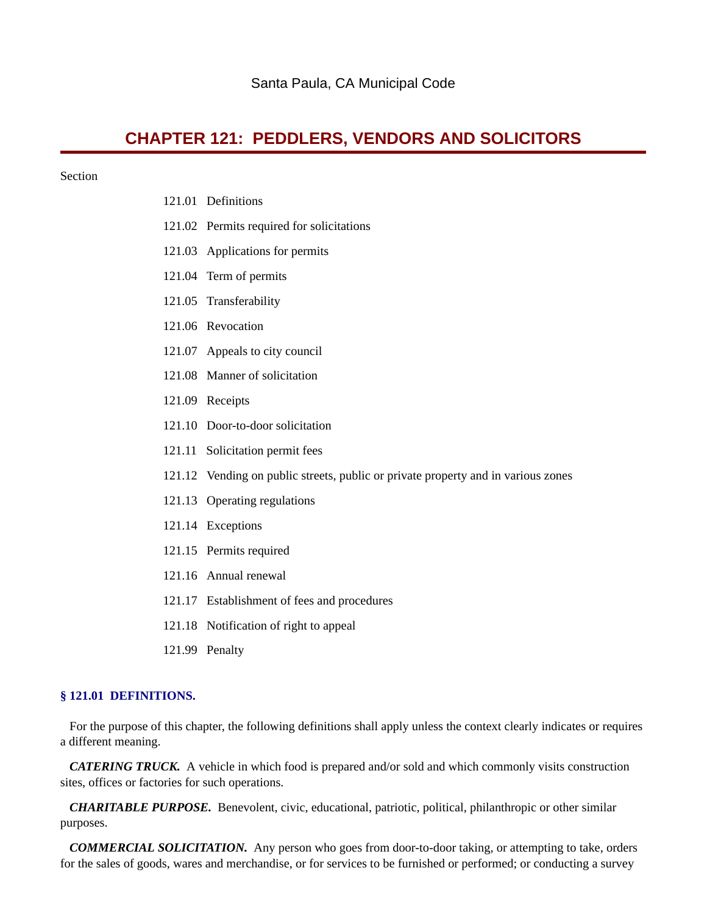# **CHAPTER 121: PEDDLERS, VENDORS AND SOLICITORS**

#### Section

- 121.01 Definitions
- 121.02 Permits required for solicitations
- 121.03 Applications for permits
- 121.04 Term of permits
- 121.05 Transferability
- 121.06 Revocation
- 121.07 Appeals to city council
- 121.08 Manner of solicitation
- 121.09 Receipts
- 121.10 Door-to-door solicitation
- 121.11 Solicitation permit fees
- 121.12 Vending on public streets, public or private property and in various zones
- 121.13 Operating regulations
- 121.14 Exceptions
- 121.15 Permits required
- 121.16 Annual renewal
- 121.17 Establishment of fees and procedures
- 121.18 Notification of right to appeal
- 121.99 Penalty

#### **§ 121.01 DEFINITIONS.**

For the purpose of this chapter, the following definitions shall apply unless the context clearly indicates or requires a different meaning.

*CATERING TRUCK.* A vehicle in which food is prepared and/or sold and which commonly visits construction sites, offices or factories for such operations.

 *CHARITABLE PURPOSE.* Benevolent, civic, educational, patriotic, political, philanthropic or other similar purposes.

 *COMMERCIAL SOLICITATION.* Any person who goes from door-to-door taking, or attempting to take, orders for the sales of goods, wares and merchandise, or for services to be furnished or performed; or conducting a survey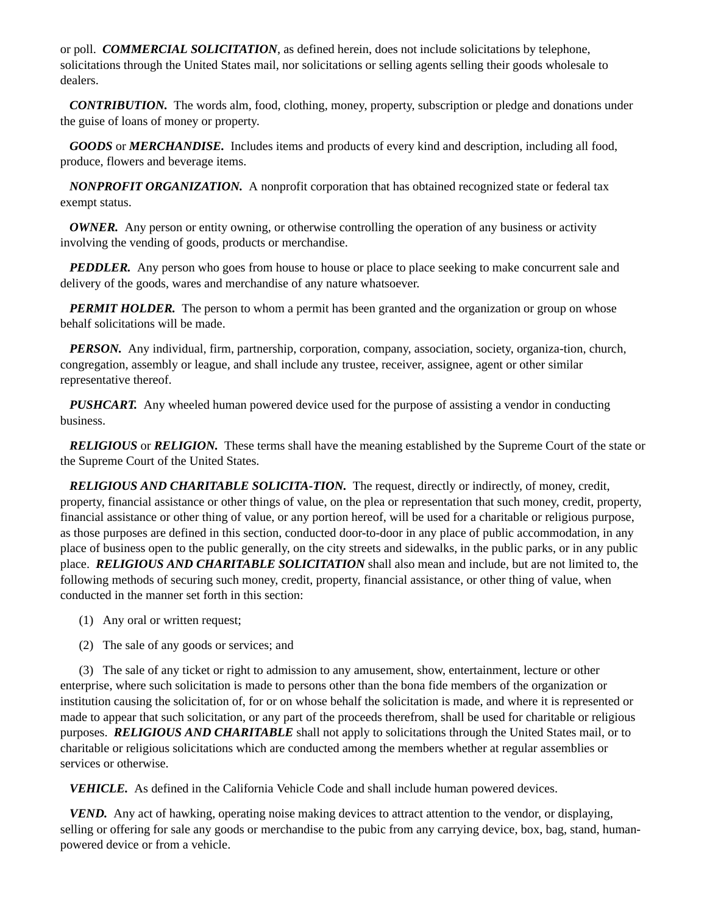or poll. *COMMERCIAL SOLICITATION*, as defined herein, does not include solicitations by telephone, solicitations through the United States mail, nor solicitations or selling agents selling their goods wholesale to dealers.

 *CONTRIBUTION.* The words alm, food, clothing, money, property, subscription or pledge and donations under the guise of loans of money or property.

 *GOODS* or *MERCHANDISE.* Includes items and products of every kind and description, including all food, produce, flowers and beverage items.

 *NONPROFIT ORGANIZATION.* A nonprofit corporation that has obtained recognized state or federal tax exempt status.

*OWNER.* Any person or entity owning, or otherwise controlling the operation of any business or activity involving the vending of goods, products or merchandise.

*PEDDLER.* Any person who goes from house to house or place to place seeking to make concurrent sale and delivery of the goods, wares and merchandise of any nature whatsoever.

*PERMIT HOLDER.* The person to whom a permit has been granted and the organization or group on whose behalf solicitations will be made.

 *PERSON.* Any individual, firm, partnership, corporation, company, association, society, organiza-tion, church, congregation, assembly or league, and shall include any trustee, receiver, assignee, agent or other similar representative thereof.

*PUSHCART.* Any wheeled human powered device used for the purpose of assisting a vendor in conducting business.

 *RELIGIOUS* or *RELIGION.* These terms shall have the meaning established by the Supreme Court of the state or the Supreme Court of the United States.

 *RELIGIOUS AND CHARITABLE SOLICITA-TION.* The request, directly or indirectly, of money, credit, property, financial assistance or other things of value, on the plea or representation that such money, credit, property, financial assistance or other thing of value, or any portion hereof, will be used for a charitable or religious purpose, as those purposes are defined in this section, conducted door-to-door in any place of public accommodation, in any place of business open to the public generally, on the city streets and sidewalks, in the public parks, or in any public place. *RELIGIOUS AND CHARITABLE SOLICITATION* shall also mean and include, but are not limited to, the following methods of securing such money, credit, property, financial assistance, or other thing of value, when conducted in the manner set forth in this section:

- (1) Any oral or written request;
- (2) The sale of any goods or services; and

 (3) The sale of any ticket or right to admission to any amusement, show, entertainment, lecture or other enterprise, where such solicitation is made to persons other than the bona fide members of the organization or institution causing the solicitation of, for or on whose behalf the solicitation is made, and where it is represented or made to appear that such solicitation, or any part of the proceeds therefrom, shall be used for charitable or religious purposes. *RELIGIOUS AND CHARITABLE* shall not apply to solicitations through the United States mail, or to charitable or religious solicitations which are conducted among the members whether at regular assemblies or services or otherwise.

 *VEHICLE.* As defined in the California Vehicle Code and shall include human powered devices.

 *VEND.* Any act of hawking, operating noise making devices to attract attention to the vendor, or displaying, selling or offering for sale any goods or merchandise to the pubic from any carrying device, box, bag, stand, humanpowered device or from a vehicle.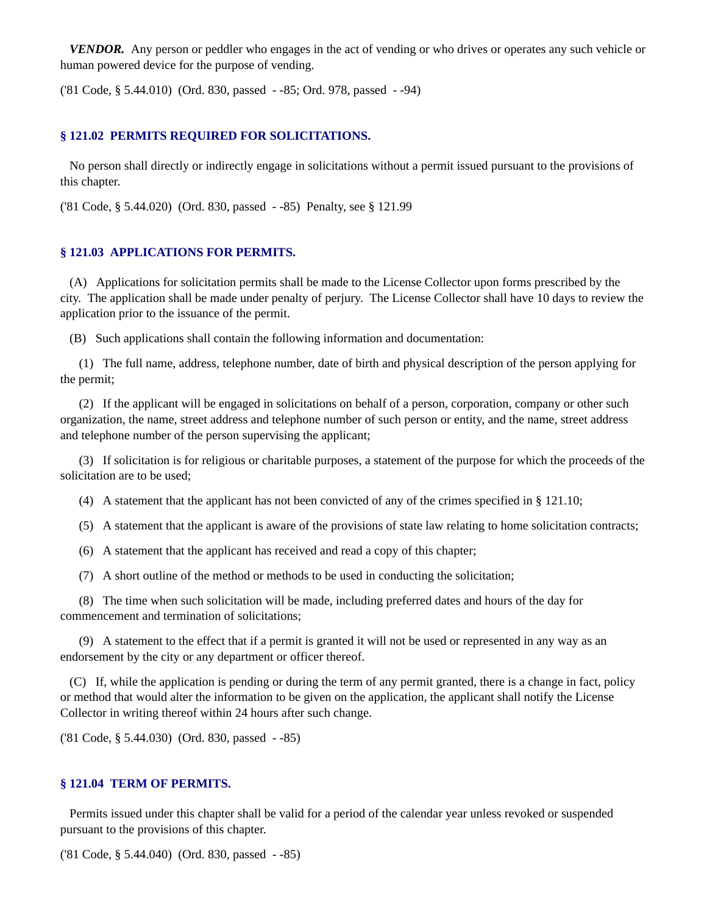*VENDOR.* Any person or peddler who engages in the act of vending or who drives or operates any such vehicle or human powered device for the purpose of vending.

('81 Code, § 5.44.010) (Ord. 830, passed - -85; Ord. 978, passed - -94)

#### **§ 121.02 PERMITS REQUIRED FOR SOLICITATIONS.**

No person shall directly or indirectly engage in solicitations without a permit issued pursuant to the provisions of this chapter.

('81 Code, § 5.44.020) (Ord. 830, passed - -85) Penalty, see § 121.99

#### **§ 121.03 APPLICATIONS FOR PERMITS.**

(A) Applications for solicitation permits shall be made to the License Collector upon forms prescribed by the city. The application shall be made under penalty of perjury. The License Collector shall have 10 days to review the application prior to the issuance of the permit.

(B) Such applications shall contain the following information and documentation:

 (1) The full name, address, telephone number, date of birth and physical description of the person applying for the permit;

 (2) If the applicant will be engaged in solicitations on behalf of a person, corporation, company or other such organization, the name, street address and telephone number of such person or entity, and the name, street address and telephone number of the person supervising the applicant;

 (3) If solicitation is for religious or charitable purposes, a statement of the purpose for which the proceeds of the solicitation are to be used;

(4) A statement that the applicant has not been convicted of any of the crimes specified in § 121.10;

(5) A statement that the applicant is aware of the provisions of state law relating to home solicitation contracts;

(6) A statement that the applicant has received and read a copy of this chapter;

(7) A short outline of the method or methods to be used in conducting the solicitation;

 (8) The time when such solicitation will be made, including preferred dates and hours of the day for commencement and termination of solicitations;

 (9) A statement to the effect that if a permit is granted it will not be used or represented in any way as an endorsement by the city or any department or officer thereof.

 (C) If, while the application is pending or during the term of any permit granted, there is a change in fact, policy or method that would alter the information to be given on the application, the applicant shall notify the License Collector in writing thereof within 24 hours after such change.

('81 Code, § 5.44.030) (Ord. 830, passed - -85)

#### **§ 121.04 TERM OF PERMITS.**

Permits issued under this chapter shall be valid for a period of the calendar year unless revoked or suspended pursuant to the provisions of this chapter.

('81 Code, § 5.44.040) (Ord. 830, passed - -85)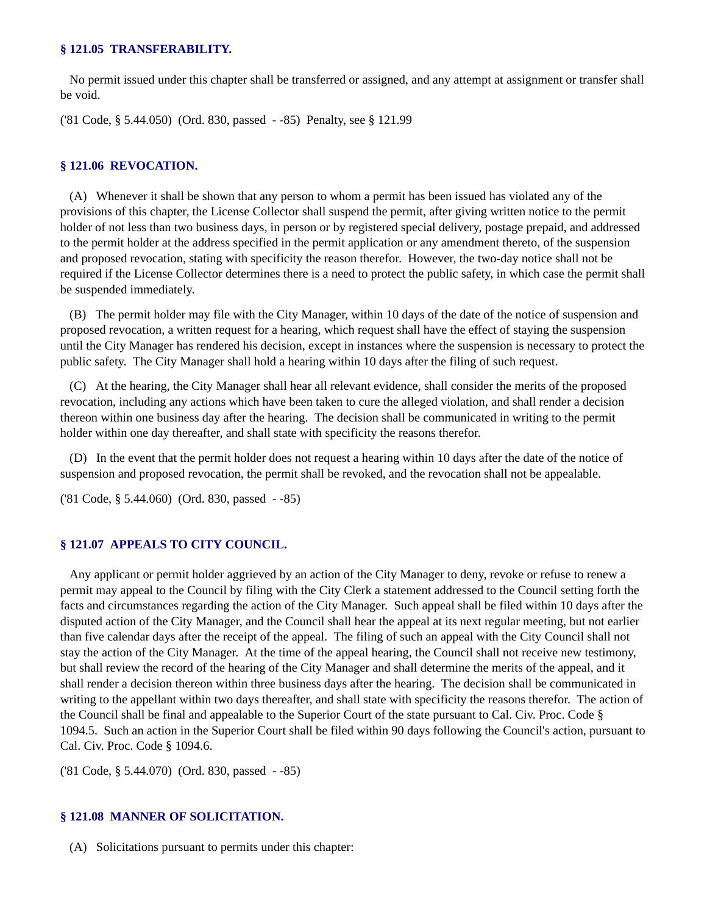#### **§ 121.05 TRANSFERABILITY.**

No permit issued under this chapter shall be transferred or assigned, and any attempt at assignment or transfer shall be void.

('81 Code, § 5.44.050) (Ord. 830, passed - -85) Penalty, see § 121.99

#### **§ 121.06 REVOCATION.**

(A) Whenever it shall be shown that any person to whom a permit has been issued has violated any of the provisions of this chapter, the License Collector shall suspend the permit, after giving written notice to the permit holder of not less than two business days, in person or by registered special delivery, postage prepaid, and addressed to the permit holder at the address specified in the permit application or any amendment thereto, of the suspension and proposed revocation, stating with specificity the reason therefor. However, the two-day notice shall not be required if the License Collector determines there is a need to protect the public safety, in which case the permit shall be suspended immediately.

 (B) The permit holder may file with the City Manager, within 10 days of the date of the notice of suspension and proposed revocation, a written request for a hearing, which request shall have the effect of staying the suspension until the City Manager has rendered his decision, except in instances where the suspension is necessary to protect the public safety. The City Manager shall hold a hearing within 10 days after the filing of such request.

 (C) At the hearing, the City Manager shall hear all relevant evidence, shall consider the merits of the proposed revocation, including any actions which have been taken to cure the alleged violation, and shall render a decision thereon within one business day after the hearing. The decision shall be communicated in writing to the permit holder within one day thereafter, and shall state with specificity the reasons therefor.

 (D) In the event that the permit holder does not request a hearing within 10 days after the date of the notice of suspension and proposed revocation, the permit shall be revoked, and the revocation shall not be appealable.

('81 Code, § 5.44.060) (Ord. 830, passed - -85)

#### **§ 121.07 APPEALS TO CITY COUNCIL.**

Any applicant or permit holder aggrieved by an action of the City Manager to deny, revoke or refuse to renew a permit may appeal to the Council by filing with the City Clerk a statement addressed to the Council setting forth the facts and circumstances regarding the action of the City Manager. Such appeal shall be filed within 10 days after the disputed action of the City Manager, and the Council shall hear the appeal at its next regular meeting, but not earlier than five calendar days after the receipt of the appeal. The filing of such an appeal with the City Council shall not stay the action of the City Manager. At the time of the appeal hearing, the Council shall not receive new testimony, but shall review the record of the hearing of the City Manager and shall determine the merits of the appeal, and it shall render a decision thereon within three business days after the hearing. The decision shall be communicated in writing to the appellant within two days thereafter, and shall state with specificity the reasons therefor. The action of the Council shall be final and appealable to the Superior Court of the state pursuant to Cal. Civ. Proc. Code § 1094.5. Such an action in the Superior Court shall be filed within 90 days following the Council's action, pursuant to Cal. Civ. Proc. Code § 1094.6.

('81 Code, § 5.44.070) (Ord. 830, passed - -85)

#### **§ 121.08 MANNER OF SOLICITATION.**

(A) Solicitations pursuant to permits under this chapter: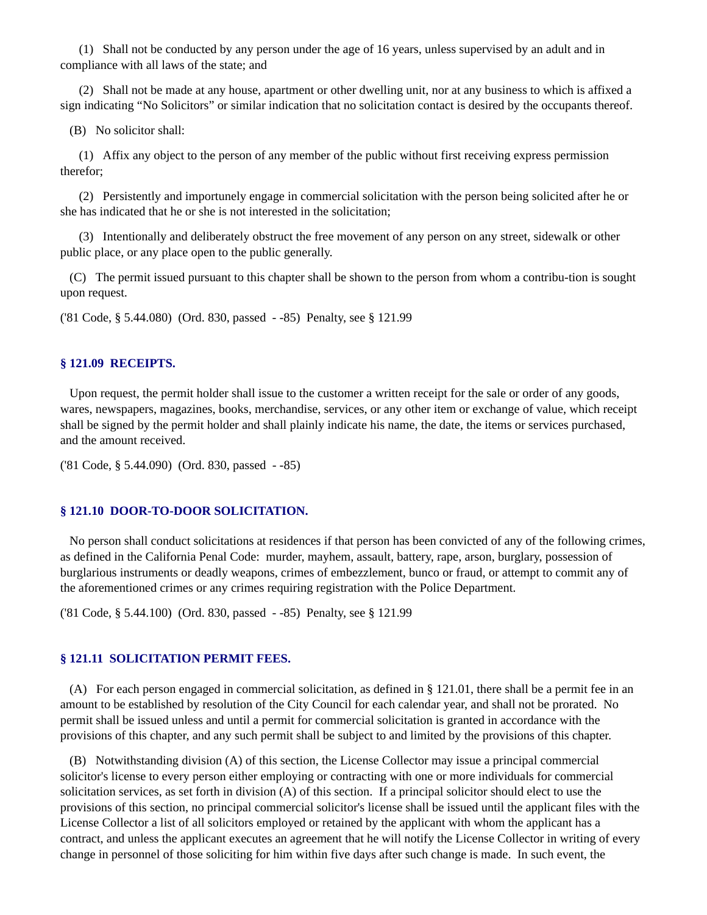(1) Shall not be conducted by any person under the age of 16 years, unless supervised by an adult and in compliance with all laws of the state; and

 (2) Shall not be made at any house, apartment or other dwelling unit, nor at any business to which is affixed a sign indicating "No Solicitors" or similar indication that no solicitation contact is desired by the occupants thereof.

(B) No solicitor shall:

 (1) Affix any object to the person of any member of the public without first receiving express permission therefor;

 (2) Persistently and importunely engage in commercial solicitation with the person being solicited after he or she has indicated that he or she is not interested in the solicitation;

 (3) Intentionally and deliberately obstruct the free movement of any person on any street, sidewalk or other public place, or any place open to the public generally.

 (C) The permit issued pursuant to this chapter shall be shown to the person from whom a contribu-tion is sought upon request.

('81 Code, § 5.44.080) (Ord. 830, passed - -85) Penalty, see § 121.99

#### **§ 121.09 RECEIPTS.**

Upon request, the permit holder shall issue to the customer a written receipt for the sale or order of any goods, wares, newspapers, magazines, books, merchandise, services, or any other item or exchange of value, which receipt shall be signed by the permit holder and shall plainly indicate his name, the date, the items or services purchased, and the amount received.

('81 Code, § 5.44.090) (Ord. 830, passed - -85)

#### **§ 121.10 DOOR-TO-DOOR SOLICITATION.**

No person shall conduct solicitations at residences if that person has been convicted of any of the following crimes, as defined in the California Penal Code: murder, mayhem, assault, battery, rape, arson, burglary, possession of burglarious instruments or deadly weapons, crimes of embezzlement, bunco or fraud, or attempt to commit any of the aforementioned crimes or any crimes requiring registration with the Police Department.

('81 Code, § 5.44.100) (Ord. 830, passed - -85) Penalty, see § 121.99

#### **§ 121.11 SOLICITATION PERMIT FEES.**

(A) For each person engaged in commercial solicitation, as defined in § 121.01, there shall be a permit fee in an amount to be established by resolution of the City Council for each calendar year, and shall not be prorated. No permit shall be issued unless and until a permit for commercial solicitation is granted in accordance with the provisions of this chapter, and any such permit shall be subject to and limited by the provisions of this chapter.

 (B) Notwithstanding division (A) of this section, the License Collector may issue a principal commercial solicitor's license to every person either employing or contracting with one or more individuals for commercial solicitation services, as set forth in division (A) of this section. If a principal solicitor should elect to use the provisions of this section, no principal commercial solicitor's license shall be issued until the applicant files with the License Collector a list of all solicitors employed or retained by the applicant with whom the applicant has a contract, and unless the applicant executes an agreement that he will notify the License Collector in writing of every change in personnel of those soliciting for him within five days after such change is made. In such event, the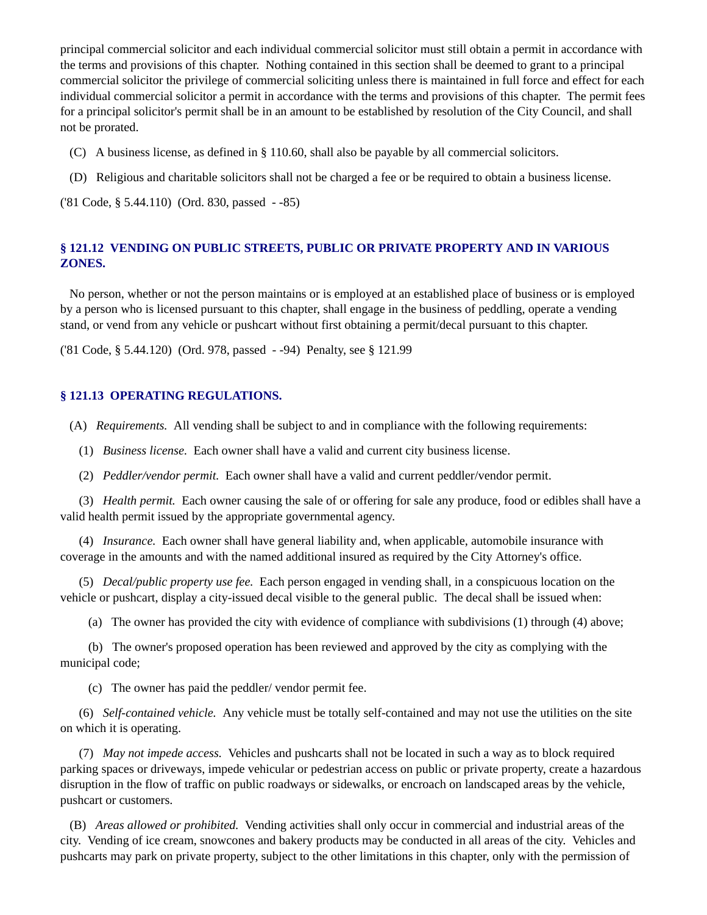principal commercial solicitor and each individual commercial solicitor must still obtain a permit in accordance with the terms and provisions of this chapter. Nothing contained in this section shall be deemed to grant to a principal commercial solicitor the privilege of commercial soliciting unless there is maintained in full force and effect for each individual commercial solicitor a permit in accordance with the terms and provisions of this chapter. The permit fees for a principal solicitor's permit shall be in an amount to be established by resolution of the City Council, and shall not be prorated.

- (C) A business license, as defined in § 110.60, shall also be payable by all commercial solicitors.
- (D) Religious and charitable solicitors shall not be charged a fee or be required to obtain a business license.

('81 Code, § 5.44.110) (Ord. 830, passed - -85)

#### **§ 121.12 VENDING ON PUBLIC STREETS, PUBLIC OR PRIVATE PROPERTY AND IN VARIOUS ZONES.**

 No person, whether or not the person maintains or is employed at an established place of business or is employed by a person who is licensed pursuant to this chapter, shall engage in the business of peddling, operate a vending stand, or vend from any vehicle or pushcart without first obtaining a permit/decal pursuant to this chapter.

('81 Code, § 5.44.120) (Ord. 978, passed - -94) Penalty, see § 121.99

#### **§ 121.13 OPERATING REGULATIONS.**

(A) *Requirements.* All vending shall be subject to and in compliance with the following requirements:

- (1) *Business license.* Each owner shall have a valid and current city business license.
- (2) *Peddler/vendor permit.* Each owner shall have a valid and current peddler/vendor permit.

 (3) *Health permit.* Each owner causing the sale of or offering for sale any produce, food or edibles shall have a valid health permit issued by the appropriate governmental agency.

 (4) *Insurance.* Each owner shall have general liability and, when applicable, automobile insurance with coverage in the amounts and with the named additional insured as required by the City Attorney's office.

 (5) *Decal/public property use fee.* Each person engaged in vending shall, in a conspicuous location on the vehicle or pushcart, display a city-issued decal visible to the general public. The decal shall be issued when:

(a) The owner has provided the city with evidence of compliance with subdivisions (1) through (4) above;

 (b) The owner's proposed operation has been reviewed and approved by the city as complying with the municipal code;

(c) The owner has paid the peddler/ vendor permit fee.

 (6) *Self-contained vehicle.* Any vehicle must be totally self-contained and may not use the utilities on the site on which it is operating.

 (7) *May not impede access.* Vehicles and pushcarts shall not be located in such a way as to block required parking spaces or driveways, impede vehicular or pedestrian access on public or private property, create a hazardous disruption in the flow of traffic on public roadways or sidewalks, or encroach on landscaped areas by the vehicle, pushcart or customers.

 (B) *Areas allowed or prohibited.* Vending activities shall only occur in commercial and industrial areas of the city. Vending of ice cream, snowcones and bakery products may be conducted in all areas of the city. Vehicles and pushcarts may park on private property, subject to the other limitations in this chapter, only with the permission of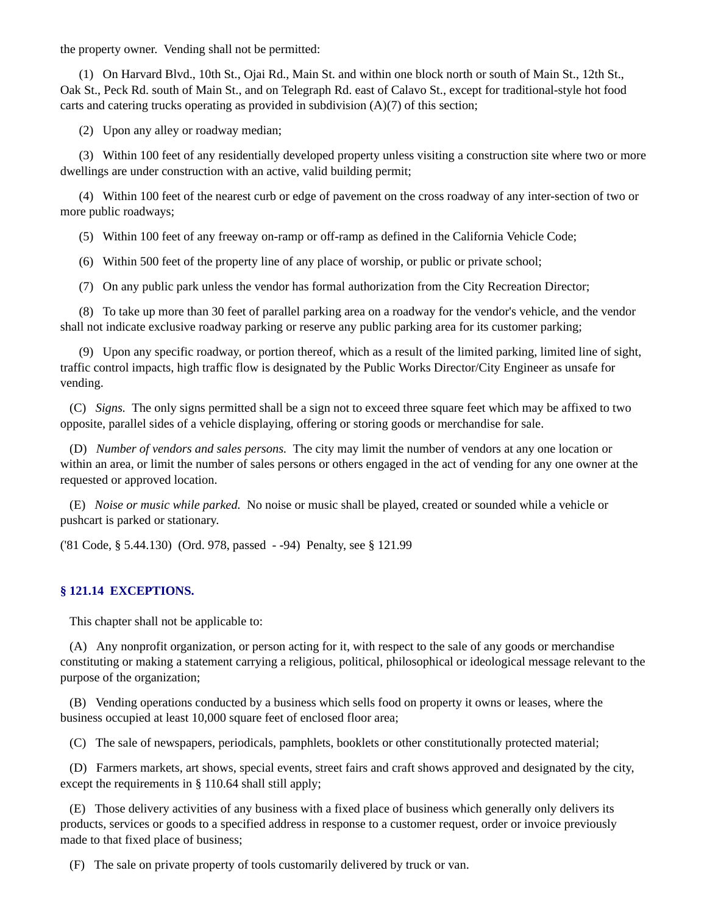the property owner. Vending shall not be permitted:

 (1) On Harvard Blvd., 10th St., Ojai Rd., Main St. and within one block north or south of Main St., 12th St., Oak St., Peck Rd. south of Main St., and on Telegraph Rd. east of Calavo St., except for traditional-style hot food carts and catering trucks operating as provided in subdivision  $(A)(7)$  of this section;

(2) Upon any alley or roadway median;

 (3) Within 100 feet of any residentially developed property unless visiting a construction site where two or more dwellings are under construction with an active, valid building permit;

 (4) Within 100 feet of the nearest curb or edge of pavement on the cross roadway of any inter-section of two or more public roadways;

(5) Within 100 feet of any freeway on-ramp or off-ramp as defined in the California Vehicle Code;

(6) Within 500 feet of the property line of any place of worship, or public or private school;

(7) On any public park unless the vendor has formal authorization from the City Recreation Director;

 (8) To take up more than 30 feet of parallel parking area on a roadway for the vendor's vehicle, and the vendor shall not indicate exclusive roadway parking or reserve any public parking area for its customer parking;

 (9) Upon any specific roadway, or portion thereof, which as a result of the limited parking, limited line of sight, traffic control impacts, high traffic flow is designated by the Public Works Director/City Engineer as unsafe for vending.

 (C) *Signs.* The only signs permitted shall be a sign not to exceed three square feet which may be affixed to two opposite, parallel sides of a vehicle displaying, offering or storing goods or merchandise for sale.

 (D) *Number of vendors and sales persons.* The city may limit the number of vendors at any one location or within an area, or limit the number of sales persons or others engaged in the act of vending for any one owner at the requested or approved location.

 (E) *Noise or music while parked.* No noise or music shall be played, created or sounded while a vehicle or pushcart is parked or stationary.

('81 Code, § 5.44.130) (Ord. 978, passed - -94) Penalty, see § 121.99

#### **§ 121.14 EXCEPTIONS.**

This chapter shall not be applicable to:

(A) Any nonprofit organization, or person acting for it, with respect to the sale of any goods or merchandise constituting or making a statement carrying a religious, political, philosophical or ideological message relevant to the purpose of the organization;

 (B) Vending operations conducted by a business which sells food on property it owns or leases, where the business occupied at least 10,000 square feet of enclosed floor area;

(C) The sale of newspapers, periodicals, pamphlets, booklets or other constitutionally protected material;

 (D) Farmers markets, art shows, special events, street fairs and craft shows approved and designated by the city, except the requirements in § 110.64 shall still apply;

 (E) Those delivery activities of any business with a fixed place of business which generally only delivers its products, services or goods to a specified address in response to a customer request, order or invoice previously made to that fixed place of business;

(F) The sale on private property of tools customarily delivered by truck or van.